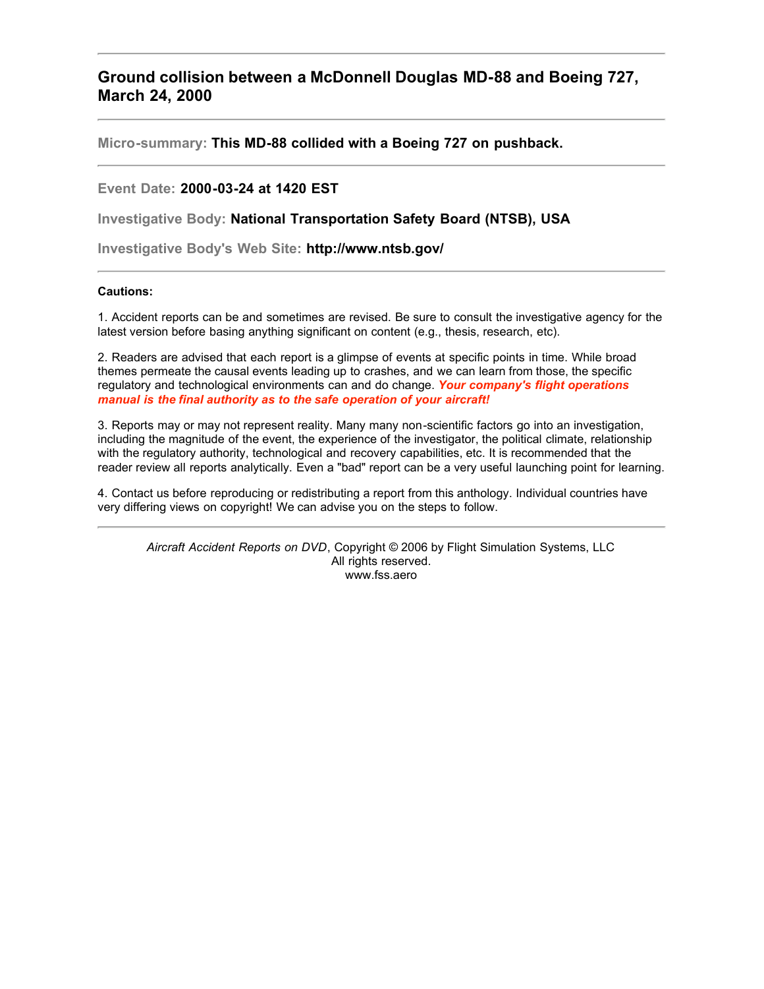## **Ground collision between a McDonnell Douglas MD-88 and Boeing 727, March 24, 2000**

**Micro-summary: This MD-88 collided with a Boeing 727 on pushback.**

## **Event Date: 2000-03-24 at 1420 EST**

**Investigative Body: National Transportation Safety Board (NTSB), USA**

**Investigative Body's Web Site: http://www.ntsb.gov/**

## **Cautions:**

1. Accident reports can be and sometimes are revised. Be sure to consult the investigative agency for the latest version before basing anything significant on content (e.g., thesis, research, etc).

2. Readers are advised that each report is a glimpse of events at specific points in time. While broad themes permeate the causal events leading up to crashes, and we can learn from those, the specific regulatory and technological environments can and do change. *Your company's flight operations manual is the final authority as to the safe operation of your aircraft!*

3. Reports may or may not represent reality. Many many non-scientific factors go into an investigation, including the magnitude of the event, the experience of the investigator, the political climate, relationship with the regulatory authority, technological and recovery capabilities, etc. It is recommended that the reader review all reports analytically. Even a "bad" report can be a very useful launching point for learning.

4. Contact us before reproducing or redistributing a report from this anthology. Individual countries have very differing views on copyright! We can advise you on the steps to follow.

*Aircraft Accident Reports on DVD*, Copyright © 2006 by Flight Simulation Systems, LLC All rights reserved. www.fss.aero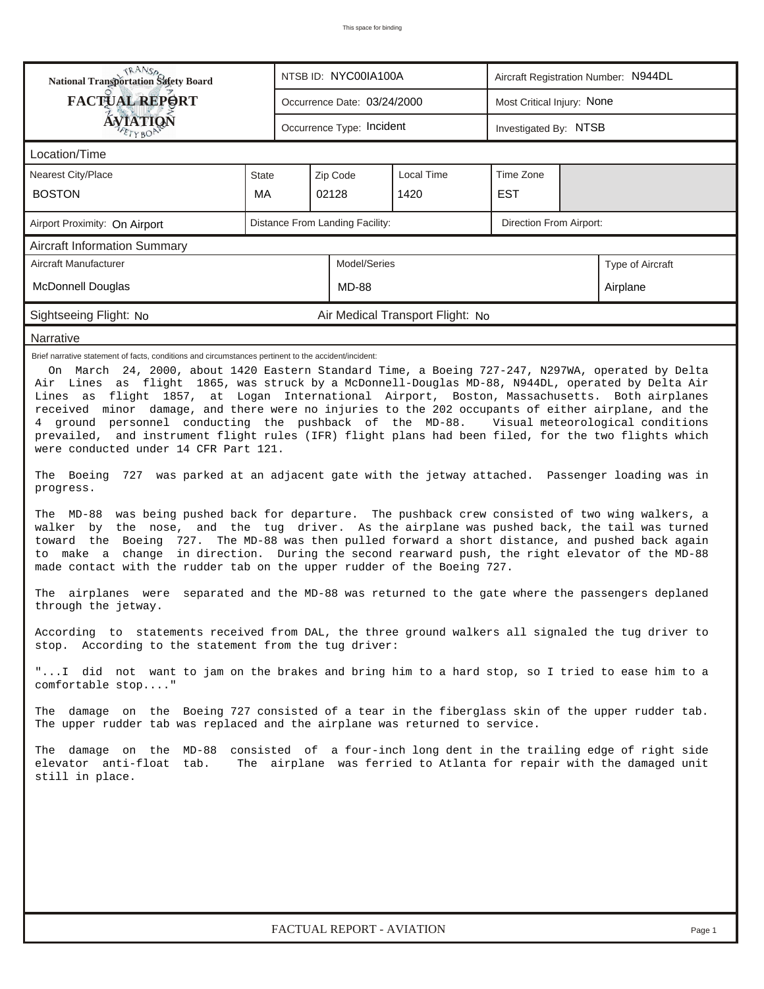| RANS <sub>O</sub> RANSO<br>National Transportation Safety Board                                                                                                                                                                                                                                                                                                                                                                                                                                                                                                                                                                                                                                                                                                                                                                                                                                                                                                                                                                                                                                                                                                                                                                                                                                                                                                                                                                                                                                                                                                                                                                                                                                                                                                                                                                                                                                                                                                                                                                                                                                                                                                                                        |                                 |                        | NTSB ID: NYC00IA100A        |                                  |            | Aircraft Registration Number: N944DL |  |  |  |  |  |
|--------------------------------------------------------------------------------------------------------------------------------------------------------------------------------------------------------------------------------------------------------------------------------------------------------------------------------------------------------------------------------------------------------------------------------------------------------------------------------------------------------------------------------------------------------------------------------------------------------------------------------------------------------------------------------------------------------------------------------------------------------------------------------------------------------------------------------------------------------------------------------------------------------------------------------------------------------------------------------------------------------------------------------------------------------------------------------------------------------------------------------------------------------------------------------------------------------------------------------------------------------------------------------------------------------------------------------------------------------------------------------------------------------------------------------------------------------------------------------------------------------------------------------------------------------------------------------------------------------------------------------------------------------------------------------------------------------------------------------------------------------------------------------------------------------------------------------------------------------------------------------------------------------------------------------------------------------------------------------------------------------------------------------------------------------------------------------------------------------------------------------------------------------------------------------------------------------|---------------------------------|------------------------|-----------------------------|----------------------------------|------------|--------------------------------------|--|--|--|--|--|
| <b>FACTUAL REPORT</b>                                                                                                                                                                                                                                                                                                                                                                                                                                                                                                                                                                                                                                                                                                                                                                                                                                                                                                                                                                                                                                                                                                                                                                                                                                                                                                                                                                                                                                                                                                                                                                                                                                                                                                                                                                                                                                                                                                                                                                                                                                                                                                                                                                                  |                                 |                        | Occurrence Date: 03/24/2000 |                                  |            | Most Critical Injury: None           |  |  |  |  |  |
| <b>ÁVIATION</b><br>ETYBOR                                                                                                                                                                                                                                                                                                                                                                                                                                                                                                                                                                                                                                                                                                                                                                                                                                                                                                                                                                                                                                                                                                                                                                                                                                                                                                                                                                                                                                                                                                                                                                                                                                                                                                                                                                                                                                                                                                                                                                                                                                                                                                                                                                              |                                 |                        | Occurrence Type: Incident   |                                  |            | Investigated By: NTSB                |  |  |  |  |  |
| Location/Time                                                                                                                                                                                                                                                                                                                                                                                                                                                                                                                                                                                                                                                                                                                                                                                                                                                                                                                                                                                                                                                                                                                                                                                                                                                                                                                                                                                                                                                                                                                                                                                                                                                                                                                                                                                                                                                                                                                                                                                                                                                                                                                                                                                          |                                 |                        |                             |                                  |            |                                      |  |  |  |  |  |
| Nearest City/Place                                                                                                                                                                                                                                                                                                                                                                                                                                                                                                                                                                                                                                                                                                                                                                                                                                                                                                                                                                                                                                                                                                                                                                                                                                                                                                                                                                                                                                                                                                                                                                                                                                                                                                                                                                                                                                                                                                                                                                                                                                                                                                                                                                                     | <b>State</b>                    | Local Time<br>Zip Code |                             |                                  |            | Time Zone                            |  |  |  |  |  |
| <b>BOSTON</b>                                                                                                                                                                                                                                                                                                                                                                                                                                                                                                                                                                                                                                                                                                                                                                                                                                                                                                                                                                                                                                                                                                                                                                                                                                                                                                                                                                                                                                                                                                                                                                                                                                                                                                                                                                                                                                                                                                                                                                                                                                                                                                                                                                                          | MA                              |                        | 02128                       | 1420                             | <b>EST</b> |                                      |  |  |  |  |  |
| Airport Proximity: On Airport                                                                                                                                                                                                                                                                                                                                                                                                                                                                                                                                                                                                                                                                                                                                                                                                                                                                                                                                                                                                                                                                                                                                                                                                                                                                                                                                                                                                                                                                                                                                                                                                                                                                                                                                                                                                                                                                                                                                                                                                                                                                                                                                                                          | Distance From Landing Facility: |                        | Direction From Airport:     |                                  |            |                                      |  |  |  |  |  |
| <b>Aircraft Information Summary</b>                                                                                                                                                                                                                                                                                                                                                                                                                                                                                                                                                                                                                                                                                                                                                                                                                                                                                                                                                                                                                                                                                                                                                                                                                                                                                                                                                                                                                                                                                                                                                                                                                                                                                                                                                                                                                                                                                                                                                                                                                                                                                                                                                                    |                                 |                        |                             |                                  |            |                                      |  |  |  |  |  |
| Aircraft Manufacturer                                                                                                                                                                                                                                                                                                                                                                                                                                                                                                                                                                                                                                                                                                                                                                                                                                                                                                                                                                                                                                                                                                                                                                                                                                                                                                                                                                                                                                                                                                                                                                                                                                                                                                                                                                                                                                                                                                                                                                                                                                                                                                                                                                                  |                                 | Model/Series           |                             |                                  |            | Type of Aircraft                     |  |  |  |  |  |
| <b>McDonnell Douglas</b>                                                                                                                                                                                                                                                                                                                                                                                                                                                                                                                                                                                                                                                                                                                                                                                                                                                                                                                                                                                                                                                                                                                                                                                                                                                                                                                                                                                                                                                                                                                                                                                                                                                                                                                                                                                                                                                                                                                                                                                                                                                                                                                                                                               |                                 | MD-88                  |                             |                                  |            | Airplane                             |  |  |  |  |  |
| Sightseeing Flight: No                                                                                                                                                                                                                                                                                                                                                                                                                                                                                                                                                                                                                                                                                                                                                                                                                                                                                                                                                                                                                                                                                                                                                                                                                                                                                                                                                                                                                                                                                                                                                                                                                                                                                                                                                                                                                                                                                                                                                                                                                                                                                                                                                                                 |                                 |                        |                             | Air Medical Transport Flight: No |            |                                      |  |  |  |  |  |
| Narrative                                                                                                                                                                                                                                                                                                                                                                                                                                                                                                                                                                                                                                                                                                                                                                                                                                                                                                                                                                                                                                                                                                                                                                                                                                                                                                                                                                                                                                                                                                                                                                                                                                                                                                                                                                                                                                                                                                                                                                                                                                                                                                                                                                                              |                                 |                        |                             |                                  |            |                                      |  |  |  |  |  |
| Brief narrative statement of facts, conditions and circumstances pertinent to the accident/incident:<br>On March 24, 2000, about 1420 Eastern Standard Time, a Boeing 727-247, N297WA, operated by Delta<br>Air Lines as flight 1865, was struck by a McDonnell-Douglas MD-88, N944DL, operated by Delta Air<br>Lines as flight 1857, at Logan International Airport, Boston, Massachusetts. Both airplanes<br>received minor damage, and there were no injuries to the 202 occupants of either airplane, and the<br>4 ground personnel conducting the pushback of the MD-88. Visual meteorological conditions<br>prevailed, and instrument flight rules (IFR) flight plans had been filed, for the two flights which<br>were conducted under 14 CFR Part 121.<br>The Boeing 727 was parked at an adjacent gate with the jetway attached. Passenger loading was in<br>progress.<br>The MD-88 was being pushed back for departure. The pushback crew consisted of two wing walkers, a<br>walker by the nose, and the tug driver. As the airplane was pushed back, the tail was turned<br>toward the Boeing 727. The MD-88 was then pulled forward a short distance, and pushed back again<br>to make a change in direction. During the second rearward push, the right elevator of the MD-88<br>made contact with the rudder tab on the upper rudder of the Boeing 727.<br>The airplanes were separated and the MD-88 was returned to the gate where the passengers deplaned<br>through the jetway.<br>According to statements received from DAL, the three ground walkers all signaled the tug driver to<br>stop. According to the statement from the tug driver:<br>"I did not want to jam on the brakes and bring him to a hard stop, so I tried to ease him to a<br>comfortable stop"<br>The damage on the Boeing 727 consisted of a tear in the fiberglass skin of the upper rudder tab.<br>The upper rudder tab was replaced and the airplane was returned to service.<br>consisted of a four-inch long dent in the trailing edge of right side<br>The damage on the MD-88<br>elevator anti-float tab.<br>The airplane was ferried to Atlanta for repair with the damaged unit<br>still in place. |                                 |                        |                             |                                  |            |                                      |  |  |  |  |  |
|                                                                                                                                                                                                                                                                                                                                                                                                                                                                                                                                                                                                                                                                                                                                                                                                                                                                                                                                                                                                                                                                                                                                                                                                                                                                                                                                                                                                                                                                                                                                                                                                                                                                                                                                                                                                                                                                                                                                                                                                                                                                                                                                                                                                        |                                 |                        |                             |                                  |            |                                      |  |  |  |  |  |
|                                                                                                                                                                                                                                                                                                                                                                                                                                                                                                                                                                                                                                                                                                                                                                                                                                                                                                                                                                                                                                                                                                                                                                                                                                                                                                                                                                                                                                                                                                                                                                                                                                                                                                                                                                                                                                                                                                                                                                                                                                                                                                                                                                                                        |                                 |                        |                             |                                  |            |                                      |  |  |  |  |  |
|                                                                                                                                                                                                                                                                                                                                                                                                                                                                                                                                                                                                                                                                                                                                                                                                                                                                                                                                                                                                                                                                                                                                                                                                                                                                                                                                                                                                                                                                                                                                                                                                                                                                                                                                                                                                                                                                                                                                                                                                                                                                                                                                                                                                        |                                 |                        |                             |                                  |            |                                      |  |  |  |  |  |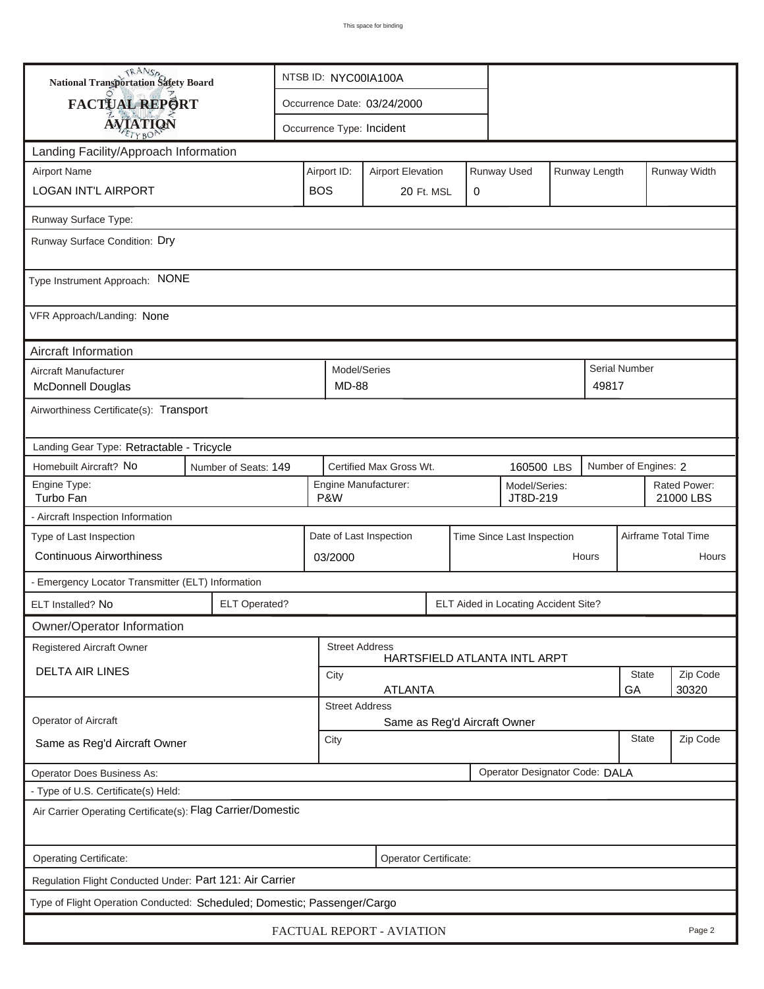| <b>National Transportation Safety Board</b>                              |                                                 |                                                              | NTSB ID: NYC00IA100A      |                                                       |                                                                         |  |  |                              |                           |       |                      |                           |  |  |
|--------------------------------------------------------------------------|-------------------------------------------------|--------------------------------------------------------------|---------------------------|-------------------------------------------------------|-------------------------------------------------------------------------|--|--|------------------------------|---------------------------|-------|----------------------|---------------------------|--|--|
| <b>FACTUAL REPORT</b>                                                    |                                                 |                                                              |                           |                                                       | Occurrence Date: 03/24/2000                                             |  |  |                              |                           |       |                      |                           |  |  |
| <b>AVIATION</b>                                                          |                                                 |                                                              | Occurrence Type: Incident |                                                       |                                                                         |  |  |                              |                           |       |                      |                           |  |  |
| Landing Facility/Approach Information                                    |                                                 |                                                              |                           |                                                       |                                                                         |  |  |                              |                           |       |                      |                           |  |  |
| <b>Airport Name</b>                                                      |                                                 |                                                              |                           |                                                       | Runway Used<br>Runway Length<br>Airport ID:<br><b>Airport Elevation</b> |  |  |                              |                           |       |                      | Runway Width              |  |  |
| <b>LOGAN INT'L AIRPORT</b>                                               |                                                 |                                                              |                           |                                                       | <b>BOS</b><br>0<br>20 Ft. MSL                                           |  |  |                              |                           |       |                      |                           |  |  |
| Runway Surface Type:                                                     |                                                 |                                                              |                           |                                                       |                                                                         |  |  |                              |                           |       |                      |                           |  |  |
| Runway Surface Condition: Dry                                            |                                                 |                                                              |                           |                                                       |                                                                         |  |  |                              |                           |       |                      |                           |  |  |
| Type Instrument Approach: NONE                                           |                                                 |                                                              |                           |                                                       |                                                                         |  |  |                              |                           |       |                      |                           |  |  |
| VFR Approach/Landing: None                                               |                                                 |                                                              |                           |                                                       |                                                                         |  |  |                              |                           |       |                      |                           |  |  |
| Aircraft Information                                                     |                                                 |                                                              |                           |                                                       |                                                                         |  |  |                              |                           |       |                      |                           |  |  |
| Aircraft Manufacturer<br>McDonnell Douglas                               |                                                 |                                                              |                           | Model/Series<br><b>MD-88</b>                          |                                                                         |  |  |                              |                           | 49817 | <b>Serial Number</b> |                           |  |  |
| Airworthiness Certificate(s): Transport                                  |                                                 |                                                              |                           |                                                       |                                                                         |  |  |                              |                           |       |                      |                           |  |  |
| Landing Gear Type: Retractable - Tricycle                                |                                                 |                                                              |                           |                                                       |                                                                         |  |  |                              |                           |       |                      |                           |  |  |
| Homebuilt Aircraft? No                                                   | Certified Max Gross Wt.<br>Number of Seats: 149 |                                                              |                           |                                                       |                                                                         |  |  | 160500 LBS                   | Number of Engines: 2      |       |                      |                           |  |  |
| Engine Type:<br>Turbo Fan                                                |                                                 |                                                              |                           | Engine Manufacturer:<br>P&W                           |                                                                         |  |  |                              | Model/Series:<br>JT8D-219 |       |                      | Rated Power:<br>21000 LBS |  |  |
| - Aircraft Inspection Information                                        |                                                 |                                                              |                           |                                                       |                                                                         |  |  |                              |                           |       |                      |                           |  |  |
| Type of Last Inspection                                                  |                                                 |                                                              |                           | Date of Last Inspection<br>Time Since Last Inspection |                                                                         |  |  |                              |                           |       |                      | Airframe Total Time       |  |  |
| <b>Continuous Airworthiness</b>                                          |                                                 |                                                              | 03/2000                   |                                                       |                                                                         |  |  |                              |                           | Hours |                      | Hours                     |  |  |
| - Emergency Locator Transmitter (ELT) Information                        |                                                 |                                                              |                           |                                                       |                                                                         |  |  |                              |                           |       |                      |                           |  |  |
| ELT Installed? No                                                        |                                                 | <b>ELT Operated?</b><br>ELT Aided in Locating Accident Site? |                           |                                                       |                                                                         |  |  |                              |                           |       |                      |                           |  |  |
| Owner/Operator Information                                               |                                                 |                                                              |                           |                                                       |                                                                         |  |  |                              |                           |       |                      |                           |  |  |
| Registered Aircraft Owner                                                |                                                 |                                                              |                           | <b>Street Address</b>                                 |                                                                         |  |  | HARTSFIELD ATLANTA INTL ARPT |                           |       |                      |                           |  |  |
| <b>DELTA AIR LINES</b>                                                   |                                                 |                                                              |                           |                                                       | City                                                                    |  |  |                              |                           |       |                      | Zip Code                  |  |  |
|                                                                          |                                                 |                                                              |                           |                                                       | <b>ATLANTA</b><br>GA<br>30320<br><b>Street Address</b>                  |  |  |                              |                           |       |                      |                           |  |  |
| Operator of Aircraft                                                     |                                                 |                                                              |                           |                                                       | Same as Reg'd Aircraft Owner                                            |  |  |                              |                           |       |                      |                           |  |  |
| Same as Reg'd Aircraft Owner                                             |                                                 |                                                              |                           |                                                       | <b>State</b><br>City                                                    |  |  |                              |                           |       |                      | Zip Code                  |  |  |
| Operator Designator Code: DALA<br><b>Operator Does Business As:</b>      |                                                 |                                                              |                           |                                                       |                                                                         |  |  |                              |                           |       |                      |                           |  |  |
| - Type of U.S. Certificate(s) Held:                                      |                                                 |                                                              |                           |                                                       |                                                                         |  |  |                              |                           |       |                      |                           |  |  |
| Air Carrier Operating Certificate(s): Flag Carrier/Domestic              |                                                 |                                                              |                           |                                                       |                                                                         |  |  |                              |                           |       |                      |                           |  |  |
| Operating Certificate:<br>Operator Certificate:                          |                                                 |                                                              |                           |                                                       |                                                                         |  |  |                              |                           |       |                      |                           |  |  |
| Regulation Flight Conducted Under: Part 121: Air Carrier                 |                                                 |                                                              |                           |                                                       |                                                                         |  |  |                              |                           |       |                      |                           |  |  |
| Type of Flight Operation Conducted: Scheduled; Domestic; Passenger/Cargo |                                                 |                                                              |                           |                                                       |                                                                         |  |  |                              |                           |       |                      |                           |  |  |
| FACTUAL REPORT - AVIATION<br>Page 2                                      |                                                 |                                                              |                           |                                                       |                                                                         |  |  |                              |                           |       |                      |                           |  |  |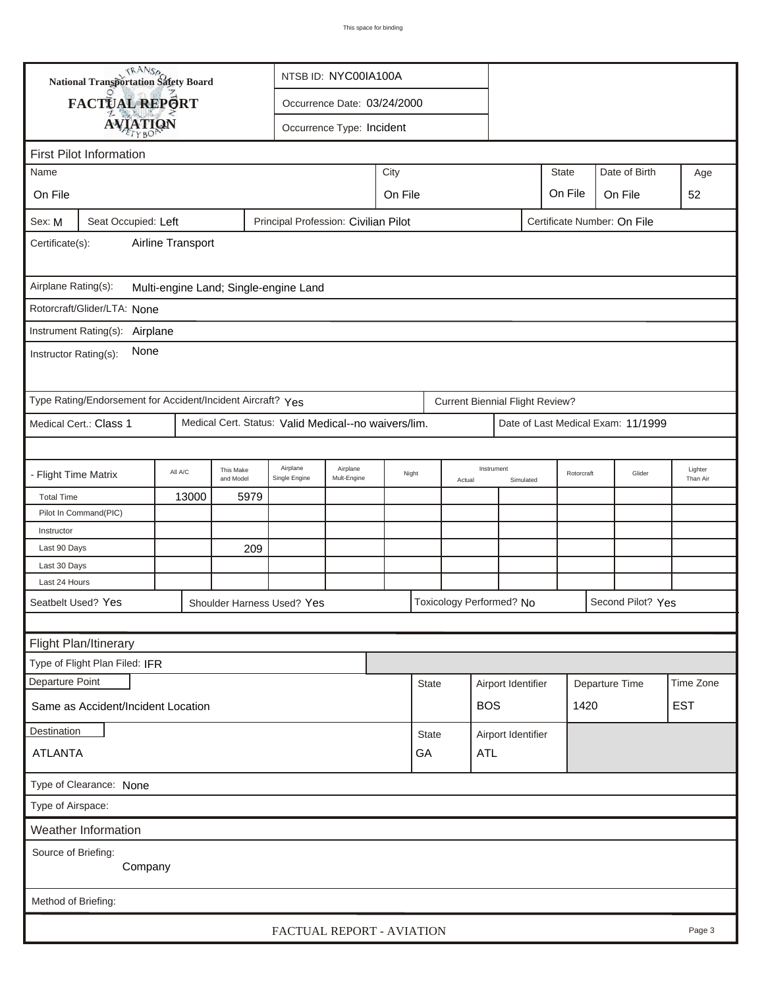|                                                                                                      | TRANSA<br><b>National Transportation Safety Board</b>                                             |         | NTSB ID: NYC00IA100A   |                                                      |                                     |  |                  |  |                                        |                                      |            |  |                                    |                     |
|------------------------------------------------------------------------------------------------------|---------------------------------------------------------------------------------------------------|---------|------------------------|------------------------------------------------------|-------------------------------------|--|------------------|--|----------------------------------------|--------------------------------------|------------|--|------------------------------------|---------------------|
|                                                                                                      | <b>FACTUAL REPORT</b>                                                                             |         |                        |                                                      | Occurrence Date: 03/24/2000         |  |                  |  |                                        |                                      |            |  |                                    |                     |
|                                                                                                      | <b>AVIATION</b>                                                                                   |         |                        |                                                      | Occurrence Type: Incident           |  |                  |  |                                        |                                      |            |  |                                    |                     |
| <b>First Pilot Information</b>                                                                       |                                                                                                   |         |                        |                                                      |                                     |  |                  |  |                                        |                                      |            |  |                                    |                     |
|                                                                                                      | City<br><b>State</b><br>Date of Birth<br>Name<br>Age                                              |         |                        |                                                      |                                     |  |                  |  |                                        |                                      |            |  |                                    |                     |
| On File                                                                                              |                                                                                                   |         |                        |                                                      |                                     |  |                  |  |                                        |                                      |            |  |                                    |                     |
|                                                                                                      |                                                                                                   |         |                        |                                                      | On File<br>On File<br>On File<br>52 |  |                  |  |                                        |                                      |            |  |                                    |                     |
| Sex: M<br>Seat Occupied: Left<br>Principal Profession: Civilian Pilot<br>Certificate Number: On File |                                                                                                   |         |                        |                                                      |                                     |  |                  |  |                                        |                                      |            |  |                                    |                     |
| Airline Transport<br>Certificate(s):                                                                 |                                                                                                   |         |                        |                                                      |                                     |  |                  |  |                                        |                                      |            |  |                                    |                     |
| Airplane Rating(s):<br>Multi-engine Land; Single-engine Land                                         |                                                                                                   |         |                        |                                                      |                                     |  |                  |  |                                        |                                      |            |  |                                    |                     |
|                                                                                                      | Rotorcraft/Glider/LTA: None                                                                       |         |                        |                                                      |                                     |  |                  |  |                                        |                                      |            |  |                                    |                     |
|                                                                                                      | Instrument Rating(s):                                                                             |         |                        |                                                      |                                     |  |                  |  |                                        |                                      |            |  |                                    |                     |
| Airplane<br>None<br>Instructor Rating(s):                                                            |                                                                                                   |         |                        |                                                      |                                     |  |                  |  |                                        |                                      |            |  |                                    |                     |
|                                                                                                      | Type Rating/Endorsement for Accident/Incident Aircraft? Yes                                       |         |                        |                                                      |                                     |  |                  |  | <b>Current Biennial Flight Review?</b> |                                      |            |  |                                    |                     |
|                                                                                                      | Medical Cert.: Class 1                                                                            |         |                        | Medical Cert. Status: Valid Medical--no waivers/lim. |                                     |  |                  |  |                                        |                                      |            |  | Date of Last Medical Exam: 11/1999 |                     |
|                                                                                                      |                                                                                                   |         |                        |                                                      |                                     |  |                  |  |                                        |                                      |            |  |                                    |                     |
| - Flight Time Matrix                                                                                 |                                                                                                   | All A/C | This Make<br>and Model | Airplane<br>Single Engine                            | Airplane<br>Mult-Engine             |  | Night<br>Actual  |  | Instrument                             | Simulated                            | Rotorcraft |  | Glider                             | Lighter<br>Than Air |
| <b>Total Time</b>                                                                                    |                                                                                                   | 13000   | 5979                   |                                                      |                                     |  |                  |  |                                        |                                      |            |  |                                    |                     |
|                                                                                                      | Pilot In Command(PIC)                                                                             |         |                        |                                                      |                                     |  |                  |  |                                        |                                      |            |  |                                    |                     |
| Instructor                                                                                           |                                                                                                   |         |                        |                                                      |                                     |  |                  |  |                                        |                                      |            |  |                                    |                     |
| Last 90 Days                                                                                         |                                                                                                   |         | 209                    |                                                      |                                     |  |                  |  |                                        |                                      |            |  |                                    |                     |
| Last 30 Days                                                                                         |                                                                                                   |         |                        |                                                      |                                     |  |                  |  |                                        |                                      |            |  |                                    |                     |
| Last 24 Hours                                                                                        |                                                                                                   |         |                        |                                                      |                                     |  |                  |  |                                        |                                      |            |  |                                    |                     |
|                                                                                                      | Seatbelt Used? Yes<br>Toxicology Performed? No<br>Second Pilot? Yes<br>Shoulder Harness Used? Yes |         |                        |                                                      |                                     |  |                  |  |                                        |                                      |            |  |                                    |                     |
|                                                                                                      |                                                                                                   |         |                        |                                                      |                                     |  |                  |  |                                        |                                      |            |  |                                    |                     |
|                                                                                                      | Flight Plan/Itinerary                                                                             |         |                        |                                                      |                                     |  |                  |  |                                        |                                      |            |  |                                    |                     |
|                                                                                                      | Type of Flight Plan Filed: IFR                                                                    |         |                        |                                                      |                                     |  |                  |  |                                        |                                      |            |  |                                    |                     |
| Departure Point                                                                                      |                                                                                                   |         |                        |                                                      |                                     |  | <b>State</b>     |  |                                        | Airport Identifier<br>Departure Time |            |  |                                    | Time Zone           |
|                                                                                                      | Same as Accident/Incident Location                                                                |         |                        |                                                      |                                     |  |                  |  | <b>BOS</b>                             | 1420                                 |            |  |                                    | <b>EST</b>          |
| <b>Destination</b><br>State                                                                          |                                                                                                   |         |                        |                                                      |                                     |  |                  |  | Airport Identifier                     |                                      |            |  |                                    |                     |
| <b>ATLANTA</b>                                                                                       |                                                                                                   |         |                        |                                                      |                                     |  | GA<br><b>ATL</b> |  |                                        |                                      |            |  |                                    |                     |
| Type of Clearance: None                                                                              |                                                                                                   |         |                        |                                                      |                                     |  |                  |  |                                        |                                      |            |  |                                    |                     |
| Type of Airspace:                                                                                    |                                                                                                   |         |                        |                                                      |                                     |  |                  |  |                                        |                                      |            |  |                                    |                     |
| Weather Information                                                                                  |                                                                                                   |         |                        |                                                      |                                     |  |                  |  |                                        |                                      |            |  |                                    |                     |
| Source of Briefing:                                                                                  |                                                                                                   |         |                        |                                                      |                                     |  |                  |  |                                        |                                      |            |  |                                    |                     |
| Company                                                                                              |                                                                                                   |         |                        |                                                      |                                     |  |                  |  |                                        |                                      |            |  |                                    |                     |
|                                                                                                      |                                                                                                   |         |                        |                                                      |                                     |  |                  |  |                                        |                                      |            |  |                                    |                     |
| Method of Briefing:                                                                                  |                                                                                                   |         |                        |                                                      |                                     |  |                  |  |                                        |                                      |            |  |                                    |                     |
| FACTUAL REPORT - AVIATION<br>Page 3                                                                  |                                                                                                   |         |                        |                                                      |                                     |  |                  |  |                                        |                                      |            |  |                                    |                     |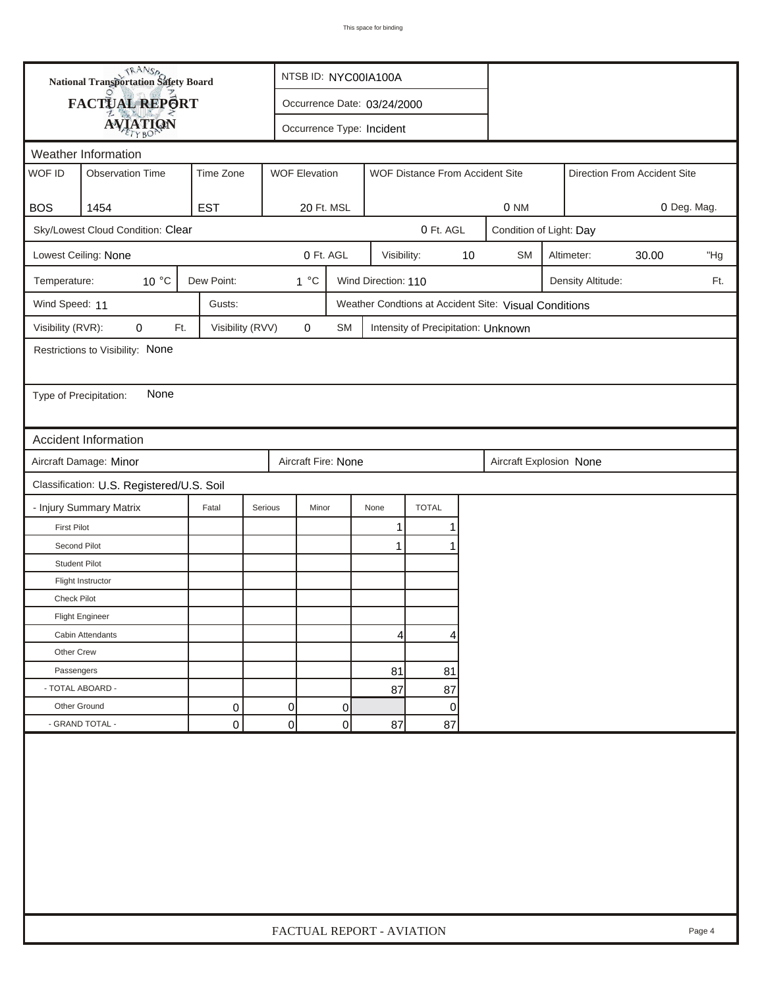|                                                                      |                                               | <b>National Transportation Safety Board</b><br>NTSB ID: NYC00IA100A |                      |                             |                     |                                     |    |                                                       |                         |                   |       |     |  |
|----------------------------------------------------------------------|-----------------------------------------------|---------------------------------------------------------------------|----------------------|-----------------------------|---------------------|-------------------------------------|----|-------------------------------------------------------|-------------------------|-------------------|-------|-----|--|
|                                                                      | FACTUAL REPORT                                |                                                                     |                      | Occurrence Date: 03/24/2000 |                     |                                     |    |                                                       |                         |                   |       |     |  |
|                                                                      | <b>AVIATION</b>                               |                                                                     |                      | Occurrence Type: Incident   |                     |                                     |    |                                                       |                         |                   |       |     |  |
|                                                                      | Weather Information                           |                                                                     |                      |                             |                     |                                     |    |                                                       |                         |                   |       |     |  |
| WOF ID                                                               | <b>Observation Time</b>                       | Time Zone                                                           | <b>WOF Elevation</b> |                             |                     | WOF Distance From Accident Site     |    | Direction From Accident Site                          |                         |                   |       |     |  |
|                                                                      |                                               |                                                                     |                      |                             |                     |                                     |    |                                                       |                         |                   |       |     |  |
| <b>BOS</b>                                                           | 1454                                          | <b>EST</b>                                                          |                      | 20 Ft. MSL                  |                     |                                     |    | 0 NM                                                  | 0 Deg. Mag.             |                   |       |     |  |
|                                                                      | Sky/Lowest Cloud Condition: Clear             |                                                                     |                      |                             |                     | 0 Ft. AGL                           |    |                                                       | Condition of Light: Day |                   |       |     |  |
|                                                                      | Lowest Ceiling: None                          |                                                                     |                      | 0 Ft. AGL                   | Visibility:         |                                     | 10 | <b>SM</b>                                             |                         | Altimeter:        | 30.00 | "Hg |  |
| Temperature:                                                         | $10^{\circ}$ C                                | Dew Point:                                                          | $1^{\circ}C$         |                             | Wind Direction: 110 |                                     |    |                                                       |                         | Density Altitude: |       | Ft. |  |
| Wind Speed: 11                                                       |                                               | Gusts:                                                              |                      |                             |                     |                                     |    | Weather Condtions at Accident Site: Visual Conditions |                         |                   |       |     |  |
| Visibility (RVR):                                                    | 0<br>Ft.                                      | Visibility (RVV)                                                    | $\mathbf 0$          | <b>SM</b>                   |                     | Intensity of Precipitation: Unknown |    |                                                       |                         |                   |       |     |  |
|                                                                      | Restrictions to Visibility: None              |                                                                     |                      |                             |                     |                                     |    |                                                       |                         |                   |       |     |  |
|                                                                      |                                               |                                                                     |                      |                             |                     |                                     |    |                                                       |                         |                   |       |     |  |
| Type of Precipitation:                                               | None                                          |                                                                     |                      |                             |                     |                                     |    |                                                       |                         |                   |       |     |  |
|                                                                      |                                               |                                                                     |                      |                             |                     |                                     |    |                                                       |                         |                   |       |     |  |
|                                                                      | <b>Accident Information</b>                   |                                                                     |                      |                             |                     |                                     |    |                                                       |                         |                   |       |     |  |
|                                                                      | Aircraft Damage: Minor<br>Aircraft Fire: None |                                                                     |                      |                             |                     |                                     |    |                                                       |                         |                   |       |     |  |
| Aircraft Explosion None<br>Classification: U.S. Registered/U.S. Soil |                                               |                                                                     |                      |                             |                     |                                     |    |                                                       |                         |                   |       |     |  |
|                                                                      | - Injury Summary Matrix                       | Fatal                                                               | Serious<br>Minor     |                             | None                | <b>TOTAL</b>                        |    |                                                       |                         |                   |       |     |  |
| <b>First Pilot</b>                                                   |                                               |                                                                     |                      |                             | 1                   | 1                                   |    |                                                       |                         |                   |       |     |  |
| Second Pilot                                                         |                                               |                                                                     |                      |                             | $\mathbf{1}$        | 1                                   |    |                                                       |                         |                   |       |     |  |
| <b>Student Pilot</b>                                                 |                                               |                                                                     |                      |                             |                     |                                     |    |                                                       |                         |                   |       |     |  |
|                                                                      | Flight Instructor                             |                                                                     |                      |                             |                     |                                     |    |                                                       |                         |                   |       |     |  |
| <b>Check Pilot</b>                                                   |                                               |                                                                     |                      |                             |                     |                                     |    |                                                       |                         |                   |       |     |  |
|                                                                      | <b>Flight Engineer</b>                        |                                                                     |                      |                             |                     |                                     |    |                                                       |                         |                   |       |     |  |
|                                                                      | Cabin Attendants                              |                                                                     |                      |                             | 4                   | 4                                   |    |                                                       |                         |                   |       |     |  |
| Other Crew                                                           |                                               |                                                                     |                      |                             |                     |                                     |    |                                                       |                         |                   |       |     |  |
| Passengers                                                           |                                               |                                                                     |                      |                             | 81                  | 81                                  |    |                                                       |                         |                   |       |     |  |
| - TOTAL ABOARD -                                                     |                                               |                                                                     |                      |                             | 87                  | 87                                  |    |                                                       |                         |                   |       |     |  |
| Other Ground                                                         |                                               | 0                                                                   | 0                    | 0                           |                     | 0                                   |    |                                                       |                         |                   |       |     |  |
|                                                                      | - GRAND TOTAL -                               | 0                                                                   | $\overline{0}$       | 0                           | 87                  | 87                                  |    |                                                       |                         |                   |       |     |  |
|                                                                      |                                               |                                                                     |                      |                             |                     |                                     |    |                                                       |                         |                   |       |     |  |
|                                                                      | FACTUAL REPORT - AVIATION<br>Page 4           |                                                                     |                      |                             |                     |                                     |    |                                                       |                         |                   |       |     |  |